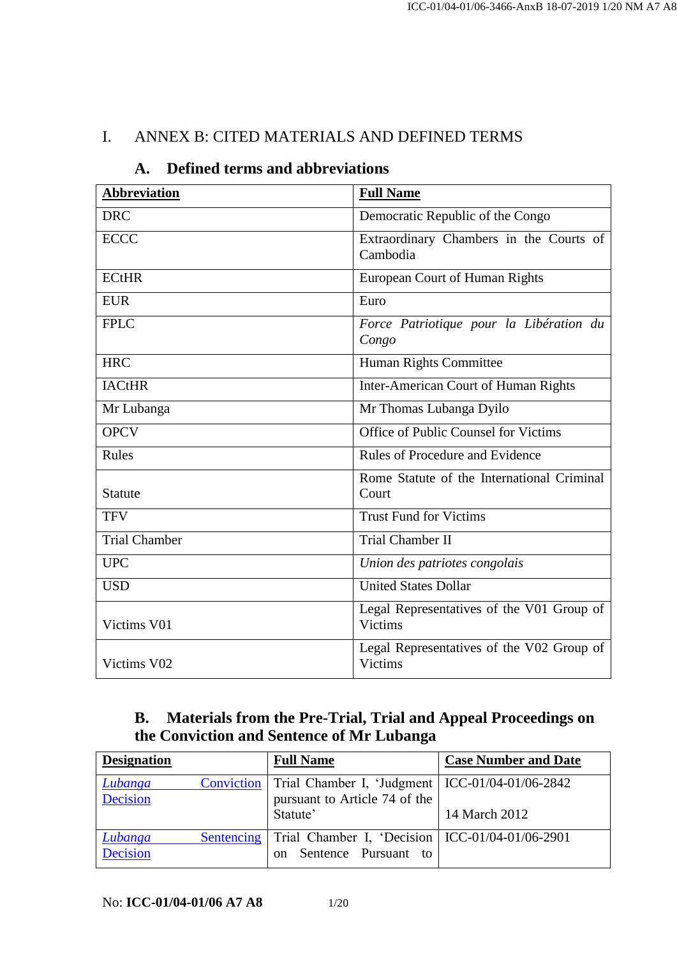### I. ANNEX B: CITED MATERIALS AND DEFINED TERMS

| <b>Abbreviation</b>  | <b>Full Name</b>                                            |
|----------------------|-------------------------------------------------------------|
| <b>DRC</b>           | Democratic Republic of the Congo                            |
| <b>ECCC</b>          | Extraordinary Chambers in the Courts of<br>Cambodia         |
| <b>ECtHR</b>         | European Court of Human Rights                              |
| <b>EUR</b>           | Euro                                                        |
| <b>FPLC</b>          | Force Patriotique pour la Libération du<br>Congo            |
| <b>HRC</b>           | Human Rights Committee                                      |
| <b>IACtHR</b>        | Inter-American Court of Human Rights                        |
| Mr Lubanga           | Mr Thomas Lubanga Dyilo                                     |
| <b>OPCV</b>          | Office of Public Counsel for Victims                        |
| Rules                | Rules of Procedure and Evidence                             |
| Statute              | Rome Statute of the International Criminal<br>Court         |
| <b>TFV</b>           | <b>Trust Fund for Victims</b>                               |
| <b>Trial Chamber</b> | <b>Trial Chamber II</b>                                     |
| <b>UPC</b>           | Union des patriotes congolais                               |
| <b>USD</b>           | <b>United States Dollar</b>                                 |
| Victims V01          | Legal Representatives of the V01 Group of<br><b>Victims</b> |
| Victims V02          | Legal Representatives of the V02 Group of<br><b>Victims</b> |

### **A. Defined terms and abbreviations**

## **B. Materials from the Pre-Trial, Trial and Appeal Proceedings on the Conviction and Sentence of Mr Lubanga**

| <b>Designation</b>         | <b>Full Name</b>                                                                                        | <b>Case Number and Date</b> |
|----------------------------|---------------------------------------------------------------------------------------------------------|-----------------------------|
| Lubanga<br>Decision        | Conviction   Trial Chamber I, 'Judgment   ICC-01/04-01/06-2842<br>pursuant to Article 74 of the         |                             |
|                            | Statute'                                                                                                | 14 March 2012               |
| Lubanga<br><b>Decision</b> | Sentencing   Trial Chamber I, 'Decision   ICC-01/04-01/06-2901<br>Sentence Pursuant to<br><sub>on</sub> |                             |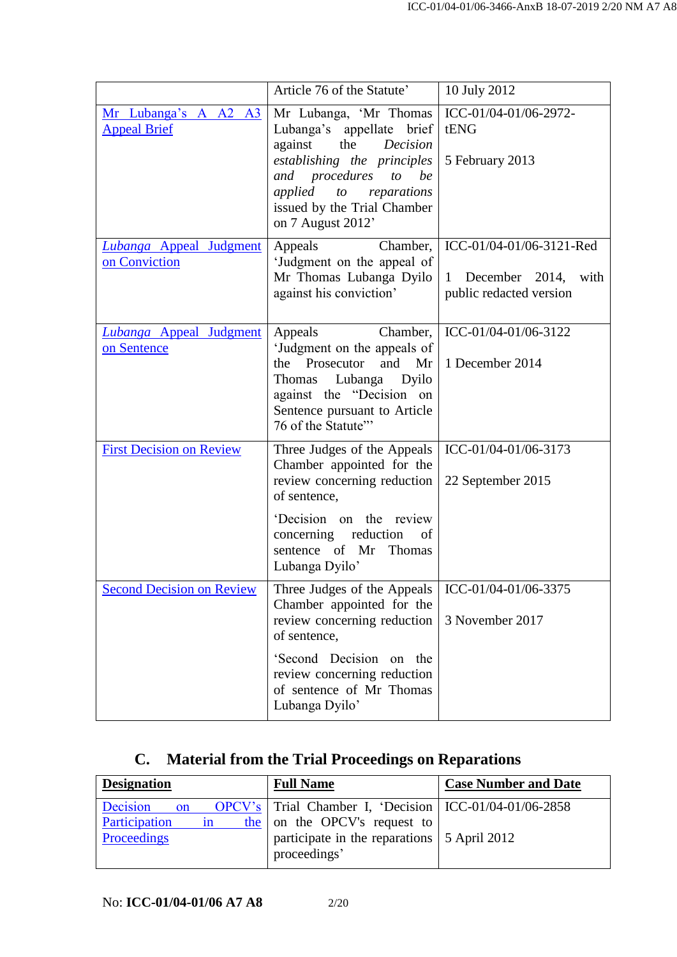|                                                 | Article 76 of the Statute'                                                                                                                                                                                                             | 10 July 2012                                                                 |
|-------------------------------------------------|----------------------------------------------------------------------------------------------------------------------------------------------------------------------------------------------------------------------------------------|------------------------------------------------------------------------------|
| Mr Lubanga's A A2 A3<br><b>Appeal Brief</b>     | Mr Lubanga, 'Mr Thomas<br>Lubanga's appellate brief<br>against<br>Decision<br>the<br>establishing the principles<br>and procedures<br>be<br>to<br>applied<br>to<br>reparations<br>issued by the Trial Chamber<br>on 7 August 2012'     | ICC-01/04-01/06-2972-<br>tENG<br>5 February 2013                             |
| <b>Lubanga Appeal Judgment</b><br>on Conviction | Appeals<br>Chamber,<br>'Judgment on the appeal of<br>Mr Thomas Lubanga Dyilo<br>against his conviction'                                                                                                                                | ICC-01/04-01/06-3121-Red<br>1 December 2014, with<br>public redacted version |
| <b>Lubanga Appeal Judgment</b><br>on Sentence   | Appeals<br>Chamber,<br>'Judgment on the appeals of<br>and<br>Prosecutor<br>the<br>Mr<br>Thomas Lubanga Dyilo<br>against the "Decision on<br>Sentence pursuant to Article<br>76 of the Statute"                                         | ICC-01/04-01/06-3122<br>1 December 2014                                      |
| <b>First Decision on Review</b>                 | Three Judges of the Appeals<br>Chamber appointed for the<br>review concerning reduction<br>of sentence,<br>'Decision on the review<br>concerning reduction<br>of<br>sentence of Mr Thomas<br>Lubanga Dyilo'                            | ICC-01/04-01/06-3173<br>22 September 2015                                    |
| <b>Second Decision on Review</b>                | Three Judges of the Appeals   ICC-01/04-01/06-3375<br>Chamber appointed for the<br>review concerning reduction<br>of sentence,<br>'Second Decision on the<br>review concerning reduction<br>of sentence of Mr Thomas<br>Lubanga Dyilo' | 3 November 2017                                                              |

# **C. Material from the Trial Proceedings on Reparations**

| <b>Designation</b>  | <b>Full Name</b>                                            | <b>Case Number and Date</b> |
|---------------------|-------------------------------------------------------------|-----------------------------|
| Decision<br>on      | OPCV's Trial Chamber I, 'Decision   ICC-01/04-01/06-2858    |                             |
| Participation<br>1n | the on the OPCV's request to                                |                             |
| Proceedings         | participate in the reparations 5 April 2012<br>proceedings' |                             |
|                     |                                                             |                             |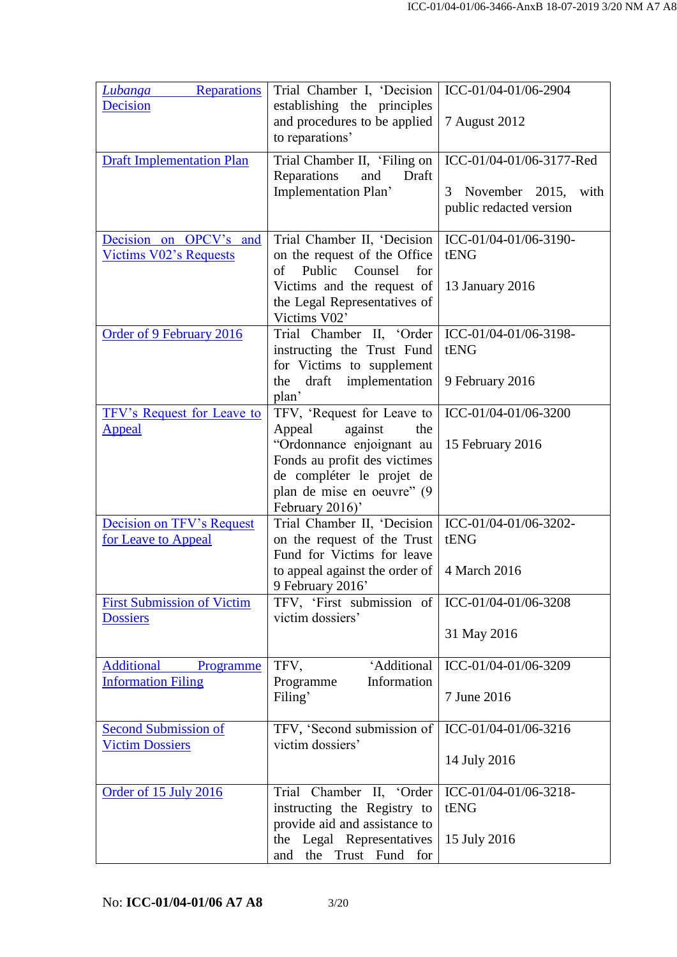| <b>Reparations</b><br><b>Lubanga</b><br><b>Decision</b><br><b>Draft Implementation Plan</b> | Trial Chamber I, 'Decision<br>establishing the principles<br>and procedures to be applied<br>to reparations'<br>Trial Chamber II, 'Filing on                                                      | ICC-01/04-01/06-2904<br>7 August 2012<br>ICC-01/04-01/06-3177-Red |
|---------------------------------------------------------------------------------------------|---------------------------------------------------------------------------------------------------------------------------------------------------------------------------------------------------|-------------------------------------------------------------------|
|                                                                                             | Reparations<br>and<br>Draft<br>Implementation Plan'                                                                                                                                               | November 2015, with<br>3<br>public redacted version               |
| Decision on OPCV's and<br><b>Victims V02's Requests</b>                                     | Trial Chamber II, 'Decision<br>on the request of the Office<br>Public Counsel<br>of<br>for<br>Victims and the request of<br>the Legal Representatives of                                          | ICC-01/04-01/06-3190-<br>tENG<br>13 January 2016                  |
| Order of 9 February 2016                                                                    | Victims V02'<br>Trial Chamber II, 'Order<br>instructing the Trust Fund<br>for Victims to supplement<br>draft implementation<br>the<br>plan'                                                       | ICC-01/04-01/06-3198-<br>tENG<br>9 February 2016                  |
| <b>TFV's Request for Leave to</b><br><b>Appeal</b>                                          | TFV, 'Request for Leave to<br>Appeal<br>against<br>the<br>"Ordonnance enjoignant au<br>Fonds au profit des victimes<br>de compléter le projet de<br>plan de mise en oeuvre" (9<br>February 2016)' | ICC-01/04-01/06-3200<br>15 February 2016                          |
| <b>Decision on TFV's Request</b><br>for Leave to Appeal                                     | Trial Chamber II, 'Decision<br>on the request of the Trust<br>Fund for Victims for leave<br>to appeal against the order of<br>9 February 2016'                                                    | ICC-01/04-01/06-3202-<br>tENG<br>4 March 2016                     |
| <b>First Submission of Victim</b><br><b>Dossiers</b>                                        | TFV, 'First submission of<br>victim dossiers'                                                                                                                                                     | ICC-01/04-01/06-3208<br>31 May 2016                               |
| <b>Additional</b><br>Programme<br><b>Information Filing</b>                                 | 'Additional<br>TFV,<br>Information<br>Programme<br>Filing'                                                                                                                                        | ICC-01/04-01/06-3209<br>7 June 2016                               |
| <b>Second Submission of</b><br><b>Victim Dossiers</b>                                       | TFV, 'Second submission of<br>victim dossiers'                                                                                                                                                    | ICC-01/04-01/06-3216<br>14 July 2016                              |
| Order of 15 July 2016                                                                       | Trial Chamber II, 'Order<br>instructing the Registry to<br>provide aid and assistance to<br>the Legal Representatives<br>Trust Fund for<br>and<br>the                                             | ICC-01/04-01/06-3218-<br>tENG<br>15 July 2016                     |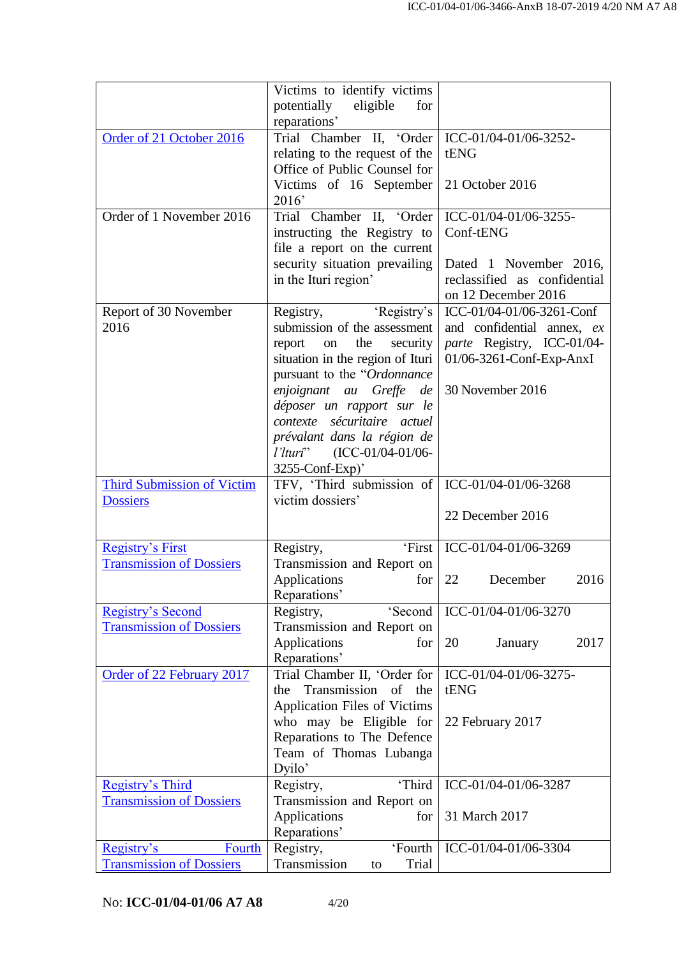|                                                         | Victims to identify victims<br>potentially eligible<br>for |                              |
|---------------------------------------------------------|------------------------------------------------------------|------------------------------|
|                                                         | reparations'                                               |                              |
| Order of 21 October 2016                                | Trial Chamber II, 'Order                                   | ICC-01/04-01/06-3252-        |
|                                                         | relating to the request of the                             | tENG                         |
|                                                         | Office of Public Counsel for                               |                              |
|                                                         | Victims of 16 September                                    | 21 October 2016              |
|                                                         | 2016'                                                      |                              |
| Order of 1 November 2016                                | Trial Chamber II, 'Order                                   | ICC-01/04-01/06-3255-        |
|                                                         | instructing the Registry to                                | Conf-tENG                    |
|                                                         | file a report on the current                               |                              |
|                                                         | security situation prevailing                              | Dated 1 November 2016,       |
|                                                         | in the Ituri region'                                       | reclassified as confidential |
|                                                         |                                                            | on 12 December 2016          |
| Report of 30 November                                   | Registry, 'Registry's                                      | ICC-01/04-01/06-3261-Conf    |
| 2016                                                    | submission of the assessment                               | and confidential annex, ex   |
|                                                         | report<br>the<br>security<br>on                            | parte Registry, ICC-01/04-   |
|                                                         | situation in the region of Ituri                           | 01/06-3261-Conf-Exp-AnxI     |
|                                                         | pursuant to the "Ordonnance"                               |                              |
|                                                         | enjoignant au Greffe de                                    | 30 November 2016             |
|                                                         | déposer un rapport sur le                                  |                              |
|                                                         | contexte sécuritaire actuel                                |                              |
|                                                         | prévalant dans la région de                                |                              |
|                                                         | <i>l'Ituri</i> " (ICC-01/04-01/06-                         |                              |
|                                                         | 3255-Conf-Exp)'                                            |                              |
|                                                         |                                                            |                              |
| <b>Third Submission of Victim</b>                       | TFV, 'Third submission of                                  | ICC-01/04-01/06-3268         |
| <b>Dossiers</b>                                         | victim dossiers'                                           |                              |
|                                                         |                                                            | 22 December 2016             |
| <b>Registry's First</b>                                 | 'First<br>Registry,                                        | ICC-01/04-01/06-3269         |
| <b>Transmission of Dossiers</b>                         | Transmission and Report on                                 |                              |
|                                                         | Applications<br>for                                        | 22<br>December<br>2016       |
|                                                         | Reparations'                                               |                              |
| <b>Registry's Second</b>                                | 'Second<br>Registry,                                       | ICC-01/04-01/06-3270         |
| <b>Transmission of Dossiers</b>                         | Transmission and Report on                                 |                              |
|                                                         | Applications<br>for                                        | 20<br>2017<br>January        |
|                                                         | Reparations'                                               |                              |
| Order of 22 February 2017                               | Trial Chamber II, 'Order for                               | ICC-01/04-01/06-3275-        |
|                                                         | Transmission of<br>the<br>the                              | tENG                         |
|                                                         | <b>Application Files of Victims</b>                        |                              |
|                                                         | who may be Eligible for                                    | 22 February 2017             |
|                                                         | Reparations to The Defence                                 |                              |
|                                                         | Team of Thomas Lubanga<br>Dyilo'                           |                              |
| Registry's Third                                        | 'Third<br>Registry,                                        | ICC-01/04-01/06-3287         |
| <b>Transmission of Dossiers</b>                         | Transmission and Report on                                 |                              |
|                                                         | Applications<br>for                                        | 31 March 2017                |
|                                                         | Reparations'                                               |                              |
| Registry's<br>Fourth<br><b>Transmission of Dossiers</b> | 'Fourth<br>Registry,<br>Transmission<br>Trial<br>to        | ICC-01/04-01/06-3304         |

No: **ICC-01/04-01/06 A7 A8** 4/20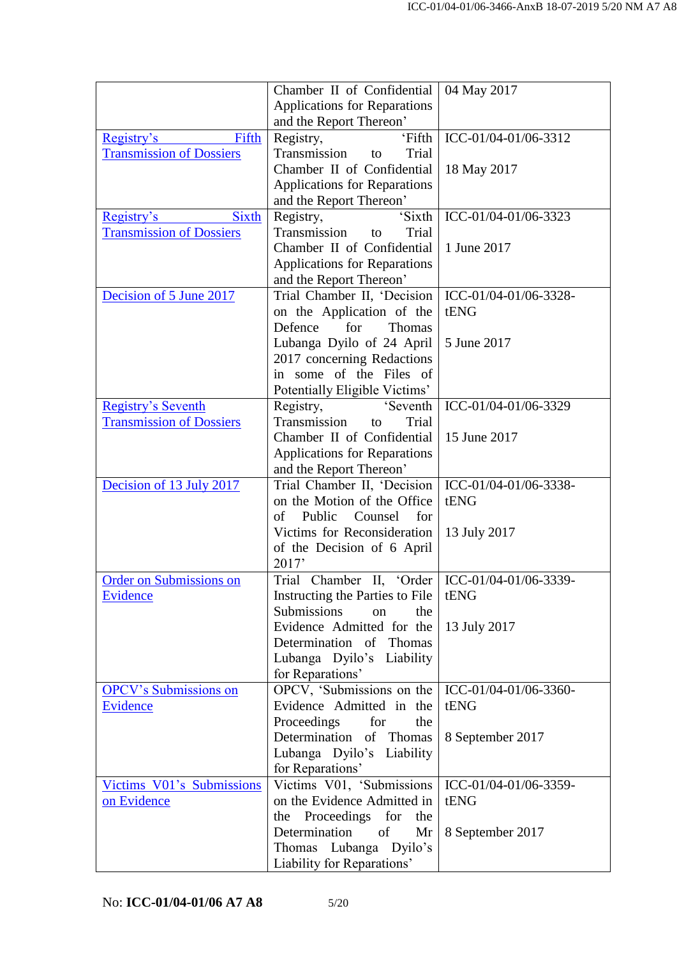|                                 | Chamber II of Confidential                             | 04 May 2017           |
|---------------------------------|--------------------------------------------------------|-----------------------|
|                                 | Applications for Reparations                           |                       |
|                                 | and the Report Thereon'                                |                       |
| Fifth<br>Registry's             | 'Fifth<br>Registry,                                    | ICC-01/04-01/06-3312  |
| <b>Transmission of Dossiers</b> | Transmission<br>Trial<br>to                            |                       |
|                                 | Chamber II of Confidential                             | 18 May 2017           |
|                                 | Applications for Reparations                           |                       |
|                                 | and the Report Thereon'                                |                       |
| <b>Sixth</b><br>Registry's      | 'Sixth<br>Registry,                                    | ICC-01/04-01/06-3323  |
| <b>Transmission of Dossiers</b> | Transmission<br>Trial<br>to                            |                       |
|                                 | Chamber II of Confidential                             | 1 June 2017           |
|                                 | <b>Applications for Reparations</b>                    |                       |
|                                 | and the Report Thereon'                                |                       |
| Decision of 5 June 2017         | Trial Chamber II, 'Decision                            | ICC-01/04-01/06-3328- |
|                                 | on the Application of the                              | tENG                  |
|                                 | Defence<br>for<br><b>Thomas</b>                        |                       |
|                                 | Lubanga Dyilo of 24 April                              | 5 June 2017           |
|                                 | 2017 concerning Redactions                             |                       |
|                                 | in some of the Files of                                |                       |
|                                 | Potentially Eligible Victims'                          |                       |
| <b>Registry's Seventh</b>       | Registry,<br>'Seventh                                  | ICC-01/04-01/06-3329  |
| <b>Transmission of Dossiers</b> | Transmission<br>Trial<br>to                            |                       |
|                                 | Chamber II of Confidential                             | 15 June 2017          |
|                                 | Applications for Reparations                           |                       |
| Decision of 13 July 2017        | and the Report Thereon'<br>Trial Chamber II, 'Decision | ICC-01/04-01/06-3338- |
|                                 | on the Motion of the Office                            | tENG                  |
|                                 | of<br>Public<br>Counsel<br>for                         |                       |
|                                 | Victims for Reconsideration                            | 13 July 2017          |
|                                 | of the Decision of 6 April                             |                       |
|                                 | 2017'                                                  |                       |
| <b>Order on Submissions on</b>  | Trial Chamber II, 'Order   ICC-01/04-01/06-3339-       |                       |
| Evidence                        | Instructing the Parties to File   tENG                 |                       |
|                                 | <b>Submissions</b><br>the<br>on                        |                       |
|                                 | Evidence Admitted for the                              | 13 July 2017          |
|                                 | Determination of Thomas                                |                       |
|                                 | Lubanga Dyilo's Liability                              |                       |
|                                 | for Reparations'                                       |                       |
| <b>OPCV's Submissions on</b>    | OPCV, 'Submissions on the                              | ICC-01/04-01/06-3360- |
| Evidence                        | Evidence Admitted in the                               | tENG                  |
|                                 | Proceedings<br>for<br>the                              |                       |
|                                 | Determination of Thomas                                | 8 September 2017      |
|                                 | Lubanga Dyilo's Liability                              |                       |
|                                 | for Reparations'                                       |                       |
| Victims V01's Submissions       | Victims V01, 'Submissions                              | ICC-01/04-01/06-3359- |
| on Evidence                     | on the Evidence Admitted in                            | tENG                  |
|                                 | the Proceedings for<br>the                             |                       |
|                                 | Determination<br>of<br>Mr                              | 8 September 2017      |
|                                 | Thomas Lubanga Dyilo's                                 |                       |
|                                 | Liability for Reparations'                             |                       |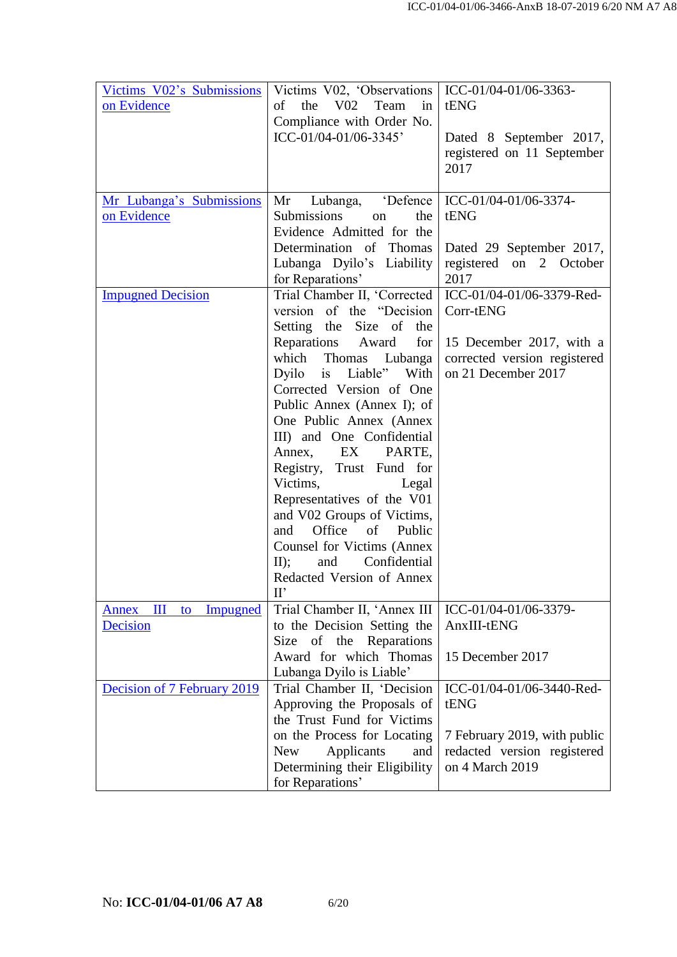| Victims V02's Submissions<br>on Evidence | Victims V02, 'Observations   ICC-01/04-01/06-3363-<br>the<br>$V_{02}$<br>Team<br>of<br>$\frac{1}{2}$<br>Compliance with Order No.<br>ICC-01/04-01/06-3345'                                                                                                                                                                                                                                                                                                                              | tENG<br>Dated 8 September 2017,<br>registered on 11 September<br>2017           |
|------------------------------------------|-----------------------------------------------------------------------------------------------------------------------------------------------------------------------------------------------------------------------------------------------------------------------------------------------------------------------------------------------------------------------------------------------------------------------------------------------------------------------------------------|---------------------------------------------------------------------------------|
| Mr Lubanga's Submissions<br>on Evidence  | Lubanga, 'Defence   ICC-01/04-01/06-3374-<br>Mr<br>Submissions<br>the<br>on<br>Evidence Admitted for the<br>Determination of Thomas                                                                                                                                                                                                                                                                                                                                                     | tENG<br>Dated 29 September 2017,                                                |
|                                          | Lubanga Dyilo's Liability<br>for Reparations'                                                                                                                                                                                                                                                                                                                                                                                                                                           | registered on 2 October<br>2017                                                 |
| <b>Impugned Decision</b>                 | Trial Chamber II, 'Corrected  <br>version of the "Decision<br>Setting the Size of the                                                                                                                                                                                                                                                                                                                                                                                                   | ICC-01/04-01/06-3379-Red-<br>Corr-tENG                                          |
|                                          | Reparations Award<br>for $ $<br>which Thomas Lubanga<br>Dyilo is Liable" With<br>Corrected Version of One<br>Public Annex (Annex I); of<br>One Public Annex (Annex<br>III) and One Confidential<br>Annex, EX<br>PARTE,<br>Registry, Trust Fund for<br>Victims,<br>Legal<br>Representatives of the V01<br>and V02 Groups of Victims,<br>Office of<br>Public<br>and<br>Counsel for Victims (Annex<br>Confidential<br>II);<br>and<br>Redacted Version of Annex<br>$\mathbf{I} \mathbf{I}'$ | 15 December 2017, with a<br>corrected version registered<br>on 21 December 2017 |
| $\mathbf{I}$<br>Impugned<br>Annex<br>to  | Trial Chamber II, 'Annex III                                                                                                                                                                                                                                                                                                                                                                                                                                                            | ICC-01/04-01/06-3379-                                                           |
| Decision                                 | to the Decision Setting the<br>Size of the Reparations<br>Award for which Thomas<br>Lubanga Dyilo is Liable'                                                                                                                                                                                                                                                                                                                                                                            | AnxIII-tENG<br>15 December 2017                                                 |
| Decision of 7 February 2019              | Trial Chamber II, 'Decision<br>Approving the Proposals of<br>the Trust Fund for Victims                                                                                                                                                                                                                                                                                                                                                                                                 | ICC-01/04-01/06-3440-Red-<br>tENG                                               |
|                                          | on the Process for Locating<br>Applicants<br><b>New</b><br>and<br>Determining their Eligibility<br>for Reparations'                                                                                                                                                                                                                                                                                                                                                                     | 7 February 2019, with public<br>redacted version registered<br>on 4 March 2019  |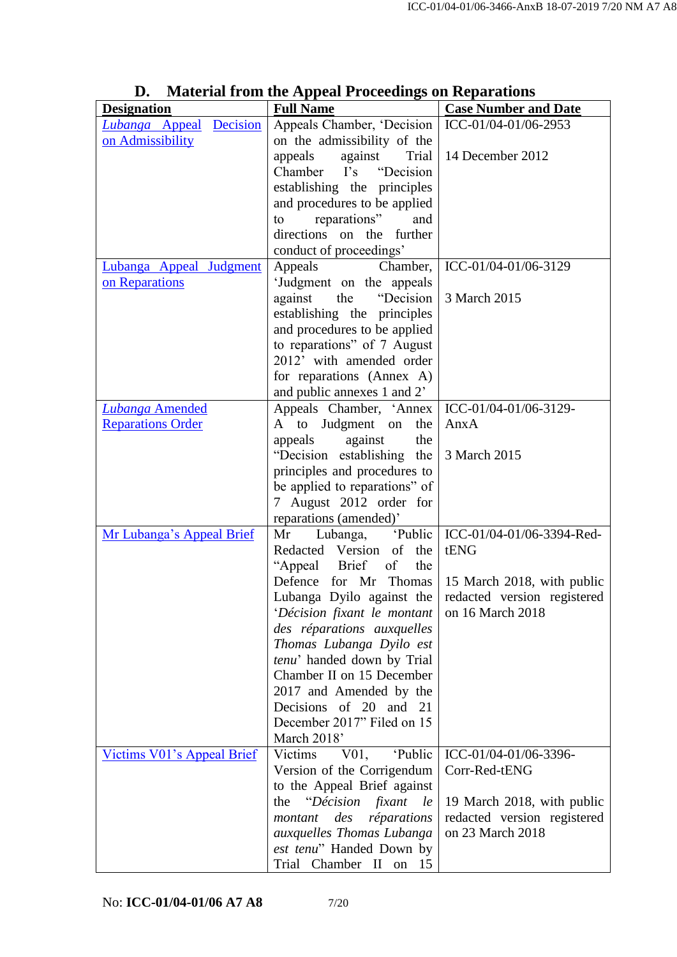| <b>Designation</b>                | <b>Material Hom the Appear I Focceanity on Ixeparations</b><br><b>Full Name</b> | <b>Case Number and Date</b>         |
|-----------------------------------|---------------------------------------------------------------------------------|-------------------------------------|
| Lubanga Appeal Decision           | Appeals Chamber, 'Decision                                                      | ICC-01/04-01/06-2953                |
| on Admissibility                  | on the admissibility of the                                                     |                                     |
|                                   | appeals<br>against<br>Trial                                                     | 14 December 2012                    |
|                                   | "Decision"<br>Chamber I's                                                       |                                     |
|                                   | establishing the principles                                                     |                                     |
|                                   | and procedures to be applied                                                    |                                     |
|                                   | reparations"<br>and<br>to                                                       |                                     |
|                                   | directions on the further                                                       |                                     |
|                                   | conduct of proceedings'                                                         |                                     |
| Lubanga Appeal Judgment           | Appeals<br>Chamber,                                                             | ICC-01/04-01/06-3129                |
| on Reparations                    | 'Judgment on the appeals                                                        |                                     |
|                                   | against the<br>"Decision"                                                       | 3 March 2015                        |
|                                   | establishing the principles                                                     |                                     |
|                                   | and procedures to be applied                                                    |                                     |
|                                   | to reparations" of 7 August                                                     |                                     |
|                                   | 2012' with amended order                                                        |                                     |
|                                   | for reparations (Annex A)                                                       |                                     |
|                                   | and public annexes 1 and 2'                                                     |                                     |
| <b>Lubanga Amended</b>            | Appeals Chamber, 'Annex                                                         | ICC-01/04-01/06-3129-               |
| <b>Reparations Order</b>          | A to Judgment on<br>the                                                         | AnxA                                |
|                                   | appeals<br>against<br>the                                                       |                                     |
|                                   | "Decision establishing the                                                      | 3 March 2015                        |
|                                   | principles and procedures to                                                    |                                     |
|                                   | be applied to reparations" of                                                   |                                     |
|                                   | 7 August 2012 order for                                                         |                                     |
|                                   | reparations (amended)'<br>Lubanga,<br>Mr                                        | 'Public   ICC-01/04-01/06-3394-Red- |
| Mr Lubanga's Appeal Brief         | Redacted Version of the                                                         | tENG                                |
|                                   | of<br>"Appeal Brief<br>the                                                      |                                     |
|                                   | Defence for Mr Thomas                                                           | 15 March 2018, with public          |
|                                   | Lubanga Dyilo against the                                                       | redacted version registered         |
|                                   | 'Décision fixant le montant                                                     | on 16 March 2018                    |
|                                   | des réparations auxquelles                                                      |                                     |
|                                   | Thomas Lubanga Dyilo est                                                        |                                     |
|                                   | tenu' handed down by Trial                                                      |                                     |
|                                   | Chamber II on 15 December                                                       |                                     |
|                                   | 2017 and Amended by the                                                         |                                     |
|                                   | Decisions of 20 and 21                                                          |                                     |
|                                   | December 2017" Filed on 15                                                      |                                     |
|                                   | March 2018'                                                                     |                                     |
| <b>Victims V01's Appeal Brief</b> | Victims V01,<br><i>Public</i>                                                   | ICC-01/04-01/06-3396-               |
|                                   | Version of the Corrigendum                                                      | Corr-Red-tENG                       |
|                                   | to the Appeal Brief against                                                     |                                     |
|                                   | "Décision fixant<br>the<br>le                                                   | 19 March 2018, with public          |
|                                   | réparations<br>des<br>montant                                                   | redacted version registered         |
|                                   | auxquelles Thomas Lubanga                                                       | on 23 March 2018                    |
|                                   | est tenu" Handed Down by                                                        |                                     |
|                                   | Trial Chamber II on 15                                                          |                                     |

### **D. Material from the Appeal Proceedings on Reparations**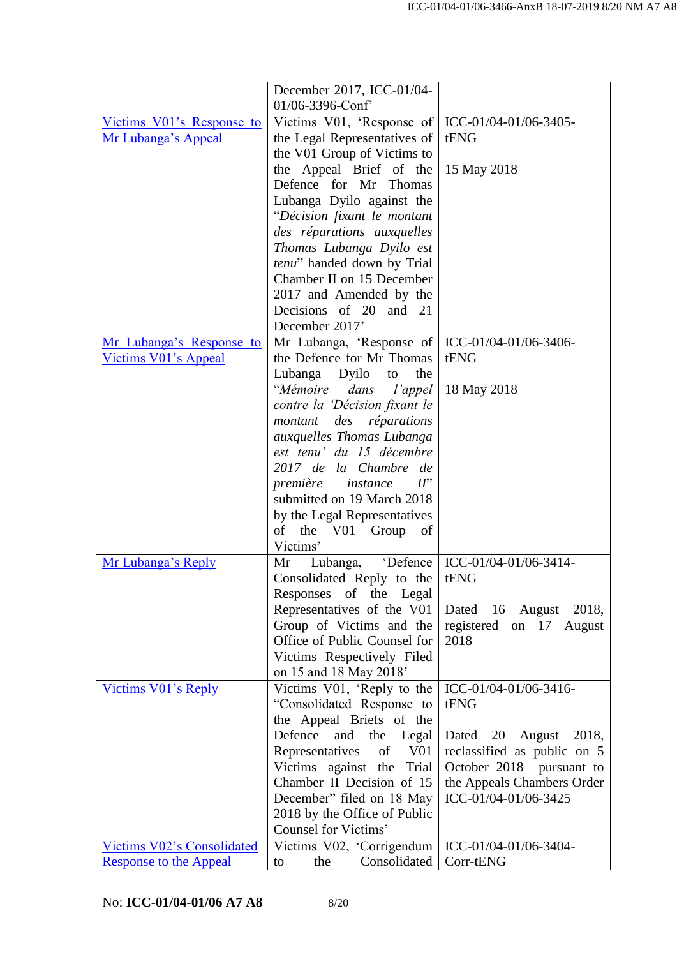|                                   | December 2017, ICC-01/04-                                 |                                                        |
|-----------------------------------|-----------------------------------------------------------|--------------------------------------------------------|
|                                   | 01/06-3396-Conf                                           |                                                        |
| Victims V01's Response to         | Victims V01, 'Response of                                 | ICC-01/04-01/06-3405-                                  |
| Mr Lubanga's Appeal               | the Legal Representatives of                              | tENG                                                   |
|                                   | the V01 Group of Victims to                               |                                                        |
|                                   | the Appeal Brief of the                                   | 15 May 2018                                            |
|                                   | Defence for Mr Thomas                                     |                                                        |
|                                   | Lubanga Dyilo against the                                 |                                                        |
|                                   | "Décision fixant le montant                               |                                                        |
|                                   | des réparations auxquelles                                |                                                        |
|                                   | Thomas Lubanga Dyilo est                                  |                                                        |
|                                   | tenu" handed down by Trial                                |                                                        |
|                                   | Chamber II on 15 December                                 |                                                        |
|                                   | 2017 and Amended by the                                   |                                                        |
|                                   | Decisions of 20 and 21                                    |                                                        |
| Mr Lubanga's Response to          | December 2017'<br>Mr Lubanga, 'Response of                | ICC-01/04-01/06-3406-                                  |
| Victims V01's Appeal              | the Defence for Mr Thomas                                 | tENG                                                   |
|                                   | Lubanga Dyilo<br>the<br>to                                |                                                        |
|                                   | "Mémoire<br>dans<br>l'appel                               | 18 May 2018                                            |
|                                   | contre la 'Décision fixant le                             |                                                        |
|                                   | des<br>réparations<br>montant                             |                                                        |
|                                   | auxquelles Thomas Lubanga                                 |                                                        |
|                                   | est tenu' du 15 décembre                                  |                                                        |
|                                   | 2017 de la Chambre de                                     |                                                        |
|                                   | première<br>instance<br>$I\!I$ <sup>*</sup>               |                                                        |
|                                   | submitted on 19 March 2018                                |                                                        |
|                                   | by the Legal Representatives                              |                                                        |
|                                   | of the V01<br>Group<br>of                                 |                                                        |
| Mr Lubanga's Reply                | Victims'<br>Lubanga, 'Defence                             | ICC-01/04-01/06-3414-                                  |
|                                   | Mr<br>Consolidated Reply to the                           | tENG                                                   |
|                                   | Responses of the Legal                                    |                                                        |
|                                   | Representatives of the V01                                | Dated 16 August 2018,                                  |
|                                   | Group of Victims and the                                  | registered on 17 August                                |
|                                   | Office of Public Counsel for                              | 2018                                                   |
|                                   | Victims Respectively Filed                                |                                                        |
|                                   | on 15 and 18 May 2018'                                    |                                                        |
| Victims V01's Reply               | Victims V01, 'Reply to the                                | ICC-01/04-01/06-3416-                                  |
|                                   | "Consolidated Response to                                 | tENG                                                   |
|                                   | the Appeal Briefs of the                                  |                                                        |
|                                   | Defence<br>and<br>the<br>Legal                            | Dated 20 August 2018,                                  |
|                                   | Representatives<br>of<br>V01                              | reclassified as public on 5                            |
|                                   | Victims against the<br>Trial<br>Chamber II Decision of 15 | October 2018 pursuant to<br>the Appeals Chambers Order |
|                                   | December" filed on 18 May                                 | ICC-01/04-01/06-3425                                   |
|                                   | 2018 by the Office of Public                              |                                                        |
|                                   | Counsel for Victims'                                      |                                                        |
| <b>Victims V02's Consolidated</b> | Victims V02, 'Corrigendum                                 | ICC-01/04-01/06-3404-                                  |
| <b>Response to the Appeal</b>     | Consolidated<br>the<br>to                                 | Corr-tENG                                              |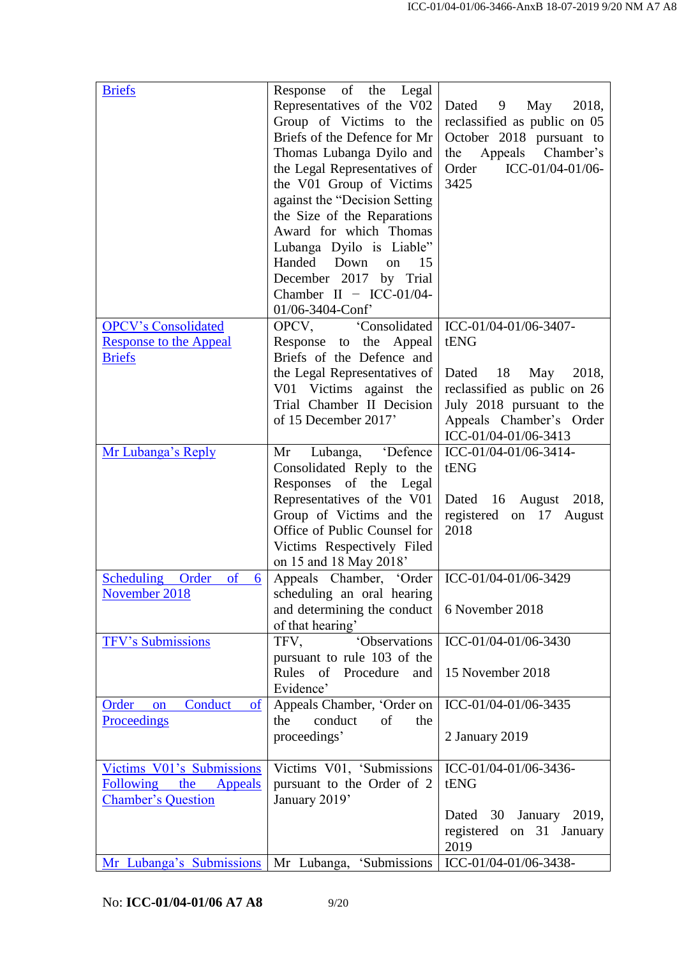| <b>Briefs</b>                                                          | Response of the Legal<br>Representatives of the V02<br>Group of Victims to the<br>Briefs of the Defence for Mr<br>Thomas Lubanga Dyilo and<br>the Legal Representatives of<br>the V01 Group of Victims<br>against the "Decision Setting"<br>the Size of the Reparations<br>Award for which Thomas<br>Lubanga Dyilo is Liable"<br>Handed Down<br>15<br>on<br>December 2017 by Trial<br>Chamber II $-$ ICC-01/04-<br>01/06-3404-Conf' | Dated 9 May<br>2018,<br>reclassified as public on 05<br>October 2018 pursuant to<br>Appeals Chamber's<br>the<br>ICC-01/04-01/06-<br>Order<br>3425 |
|------------------------------------------------------------------------|-------------------------------------------------------------------------------------------------------------------------------------------------------------------------------------------------------------------------------------------------------------------------------------------------------------------------------------------------------------------------------------------------------------------------------------|---------------------------------------------------------------------------------------------------------------------------------------------------|
| <b>OPCV's Consolidated</b>                                             | OPCV, Consolidated                                                                                                                                                                                                                                                                                                                                                                                                                  | ICC-01/04-01/06-3407-                                                                                                                             |
| <b>Response to the Appeal</b><br><b>Briefs</b>                         | Response to the Appeal<br>Briefs of the Defence and                                                                                                                                                                                                                                                                                                                                                                                 | tENG                                                                                                                                              |
|                                                                        | the Legal Representatives of<br>V01 Victims against the<br>Trial Chamber II Decision<br>of 15 December 2017'                                                                                                                                                                                                                                                                                                                        | Dated 18 May<br>2018,<br>reclassified as public on 26<br>July 2018 pursuant to the<br>Appeals Chamber's Order<br>ICC-01/04-01/06-3413             |
| Mr Lubanga's Reply                                                     | Lubanga, 'Defence<br>Mr<br>Consolidated Reply to the                                                                                                                                                                                                                                                                                                                                                                                | ICC-01/04-01/06-3414-<br>tENG                                                                                                                     |
|                                                                        | Responses of the Legal<br>Representatives of the V01<br>Group of Victims and the<br>Office of Public Counsel for<br>Victims Respectively Filed<br>on 15 and 18 May 2018'                                                                                                                                                                                                                                                            | Dated 16 August 2018,<br>registered on 17 August<br>2018                                                                                          |
| Scheduling Order<br>of<br>6                                            | Appeals Chamber, 'Order   ICC-01/04-01/06-3429                                                                                                                                                                                                                                                                                                                                                                                      |                                                                                                                                                   |
| November 2018                                                          | scheduling an oral hearing<br>and determining the conduct<br>of that hearing'                                                                                                                                                                                                                                                                                                                                                       | 6 November 2018                                                                                                                                   |
| <b>TFV's Submissions</b>                                               | 'Observations<br>TFV.<br>pursuant to rule 103 of the<br>Rules of Procedure<br>and<br>Evidence'                                                                                                                                                                                                                                                                                                                                      | ICC-01/04-01/06-3430<br>15 November 2018                                                                                                          |
| Conduct<br>Order<br>of<br>on                                           | Appeals Chamber, 'Order on                                                                                                                                                                                                                                                                                                                                                                                                          | ICC-01/04-01/06-3435                                                                                                                              |
| Proceedings                                                            | conduct<br>of<br>the<br>the<br>proceedings'                                                                                                                                                                                                                                                                                                                                                                                         | 2 January 2019                                                                                                                                    |
| Victims V01's Submissions<br><b>Following</b><br>the<br><b>Appeals</b> | Victims V01, 'Submissions<br>pursuant to the Order of 2                                                                                                                                                                                                                                                                                                                                                                             | ICC-01/04-01/06-3436-<br>tENG                                                                                                                     |
| <b>Chamber's Question</b>                                              | January 2019'                                                                                                                                                                                                                                                                                                                                                                                                                       | Dated 30 January 2019,<br>registered on 31 January<br>2019                                                                                        |
| Mr Lubanga's Submissions                                               | Mr Lubanga, 'Submissions                                                                                                                                                                                                                                                                                                                                                                                                            | ICC-01/04-01/06-3438-                                                                                                                             |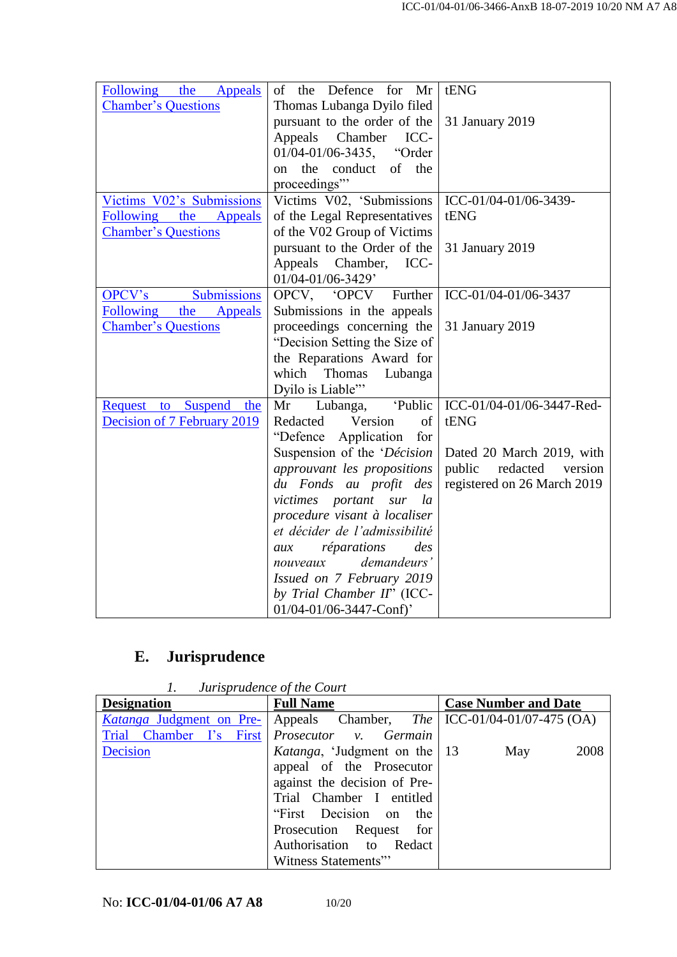| Following the Appeals        | Defence for<br>Mr<br>of<br>the | tENG                          |
|------------------------------|--------------------------------|-------------------------------|
| <b>Chamber's Questions</b>   | Thomas Lubanga Dyilo filed     |                               |
|                              | pursuant to the order of the   | 31 January 2019               |
|                              | Appeals Chamber ICC-           |                               |
|                              | 01/04-01/06-3435, "Order       |                               |
|                              | the<br>conduct of the<br>on    |                               |
|                              | proceedings"                   |                               |
| Victims V02's Submissions    | Victims V02, 'Submissions      | ICC-01/04-01/06-3439-         |
| Following the Appeals        | of the Legal Representatives   | tENG                          |
| <b>Chamber's Questions</b>   | of the V02 Group of Victims    |                               |
|                              | pursuant to the Order of the   | 31 January 2019               |
|                              | Appeals<br>Chamber, ICC-       |                               |
|                              | 01/04-01/06-3429'              |                               |
| Submissions<br><b>OPCV's</b> | OPCV, 'OPCV Further            | ICC-01/04-01/06-3437          |
| Following the Appeals        | Submissions in the appeals     |                               |
| <b>Chamber's Questions</b>   | proceedings concerning the     | 31 January 2019               |
|                              | "Decision Setting the Size of  |                               |
|                              | the Reparations Award for      |                               |
|                              | which<br>Thomas<br>Lubanga     |                               |
|                              | Dyilo is Liable"               |                               |
| Request to Suspend the       | 'Public<br>Mr<br>Lubanga,      | ICC-01/04-01/06-3447-Red-     |
| Decision of 7 February 2019  | Redacted<br>Version<br>of      | tENG                          |
|                              | "Defence Application"<br>for   |                               |
|                              | Suspension of the 'Décision    | Dated 20 March 2019, with     |
|                              | approuvant les propositions    | public<br>redacted<br>version |
|                              | du Fonds au profit des         | registered on 26 March 2019   |
|                              | victimes portant<br>sur la     |                               |
|                              | procedure visant à localiser   |                               |
|                              | et décider de l'admissibilité  |                               |
|                              | réparations<br>des<br>aux      |                               |
|                              | demandeurs'<br>nouveaux        |                               |
|                              | Issued on 7 February 2019      |                               |
|                              | by Trial Chamber II" (ICC-     |                               |
|                              | 01/04-01/06-3447-Conf)'        |                               |

# **E. Jurisprudence**

*1. Jurisprudence of the Court*

| <b>Designation</b>              | <b>Full Name</b>                                      | <b>Case Number and Date</b> |
|---------------------------------|-------------------------------------------------------|-----------------------------|
| <i>Katanga</i> Judgment on Pre- | Appeals Chamber, The $\vert$ ICC-01/04-01/07-475 (OA) |                             |
| Trial Chamber I's First         | Prosecutor v. Germain                                 |                             |
| Decision                        | <i>Katanga</i> , 'Judgment on the 13                  | 2008<br>May                 |
|                                 | appeal of the Prosecutor                              |                             |
|                                 | against the decision of Pre-                          |                             |
|                                 | Trial Chamber I entitled                              |                             |
|                                 | "First Decision on<br>the                             |                             |
|                                 | Prosecution Request for                               |                             |
|                                 | Authorisation to Redact                               |                             |
|                                 | Witness Statements"                                   |                             |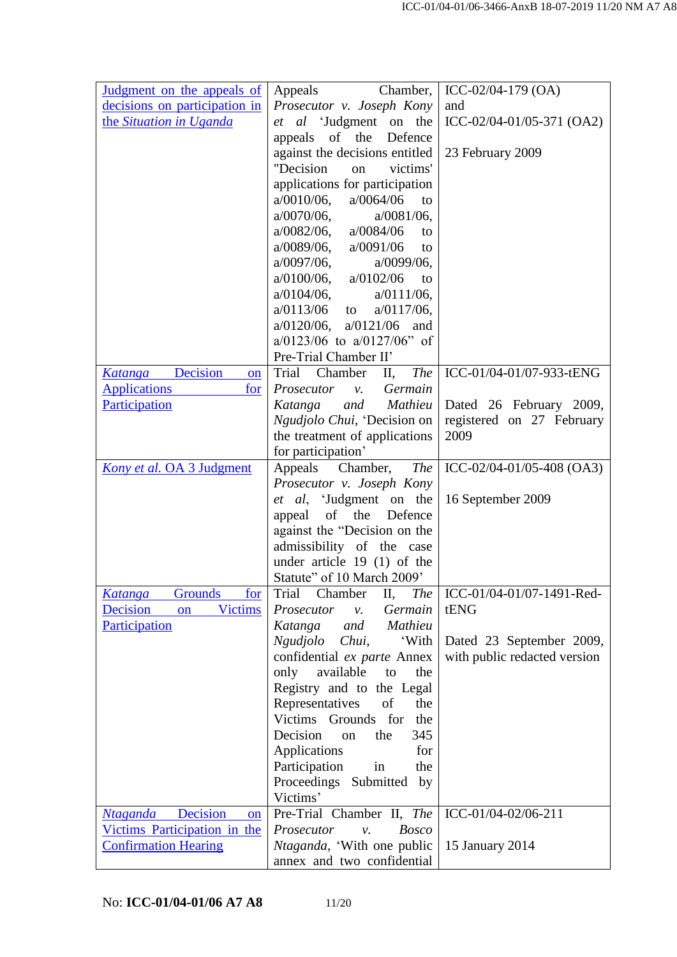| Judgment on the appeals of                  | Chamber,<br>Appeals                                           | ICC-02/04-179 (OA)           |
|---------------------------------------------|---------------------------------------------------------------|------------------------------|
| decisions on participation in               | Prosecutor v. Joseph Kony                                     | and                          |
| the Situation in Uganda                     | et al 'Judgment on the                                        | ICC-02/04-01/05-371 (OA2)    |
|                                             | appeals of the<br>Defence                                     |                              |
|                                             | against the decisions entitled                                | 23 February 2009             |
|                                             | "Decision<br>victims'<br>on                                   |                              |
|                                             | applications for participation                                |                              |
|                                             | a/0064/06<br>$a/0010/06$ ,<br>to                              |                              |
|                                             | $a/0070/06$ ,<br>$a/0081/06$ ,                                |                              |
|                                             | $a/0082/06$ ,<br>a/0084/06<br>to                              |                              |
|                                             | $a/0089/06$ ,<br>a/0091/06<br>to                              |                              |
|                                             | $a/0097/06$ ,<br>$a/0099/06$ ,                                |                              |
|                                             | $a/0100/06$ ,<br>a/0102/06<br>to                              |                              |
|                                             | $a/0104/06$ ,<br>$a/0111/06$ ,                                |                              |
|                                             | a/0113/06<br>$a/0117/06$ ,<br>to                              |                              |
|                                             | $a/0120/06$ ,<br>a/0121/06<br>and                             |                              |
|                                             | $a/0123/06$ to $a/0127/06$ " of                               |                              |
|                                             | Pre-Trial Chamber II'                                         |                              |
| Katanga Decision<br><b>on</b>               | Chamber<br><b>The</b><br>Trial<br>П,<br>Prosecutor<br>Germain | ICC-01/04-01/07-933-tENG     |
| <b>Applications</b><br>for<br>Participation | $\mathcal{V}$ .<br>and<br>Mathieu<br>Katanga                  | Dated 26 February 2009,      |
|                                             | Ngudjolo Chui, 'Decision on                                   | registered on 27 February    |
|                                             | the treatment of applications                                 | 2009                         |
|                                             | for participation'                                            |                              |
| Kony et al. OA 3 Judgment                   | Appeals<br>Chamber,<br><b>The</b>                             | ICC-02/04-01/05-408 (OA3)    |
|                                             | Prosecutor v. Joseph Kony                                     |                              |
|                                             | et al, 'Judgment on the                                       | 16 September 2009            |
|                                             | of<br>the<br>Defence<br>appeal                                |                              |
|                                             | against the "Decision on the                                  |                              |
|                                             | admissibility of the case                                     |                              |
|                                             | under article $19(1)$ of the                                  |                              |
|                                             | Statute" of 10 March 2009'                                    |                              |
| <b>Grounds</b><br><u>for</u><br>Katanga     | Trial<br>Chamber<br>Π,<br><b>The</b>                          | ICC-01/04-01/07-1491-Red-    |
| <b>Decision</b><br><b>Victims</b><br>on     | Prosecutor<br>Germain<br>ν.                                   | tENG                         |
| Participation                               | Mathieu<br>and<br>Katanga                                     |                              |
|                                             | Ngudjolo Chui,<br>'With                                       | Dated 23 September 2009,     |
|                                             | confidential ex parte Annex<br>only<br>available<br>the<br>to | with public redacted version |
|                                             | Registry and to the Legal                                     |                              |
|                                             | Representatives<br>of<br>the                                  |                              |
|                                             | Victims Grounds for<br>the                                    |                              |
|                                             | Decision<br>345<br>the<br><sub>on</sub>                       |                              |
|                                             | Applications<br>for                                           |                              |
|                                             | the<br>Participation<br>in                                    |                              |
|                                             | Proceedings Submitted<br>by                                   |                              |
|                                             | Victims'                                                      |                              |
| <b>Ntaganda</b> Decision<br>on              | Pre-Trial Chamber II, The                                     | ICC-01/04-02/06-211          |
| Victims Participation in the                | Prosecutor<br><b>Bosco</b><br>$\nu$ .                         |                              |
| <b>Confirmation Hearing</b>                 | <i>Ntaganda</i> , 'With one public                            | 15 January 2014              |
|                                             | annex and two confidential                                    |                              |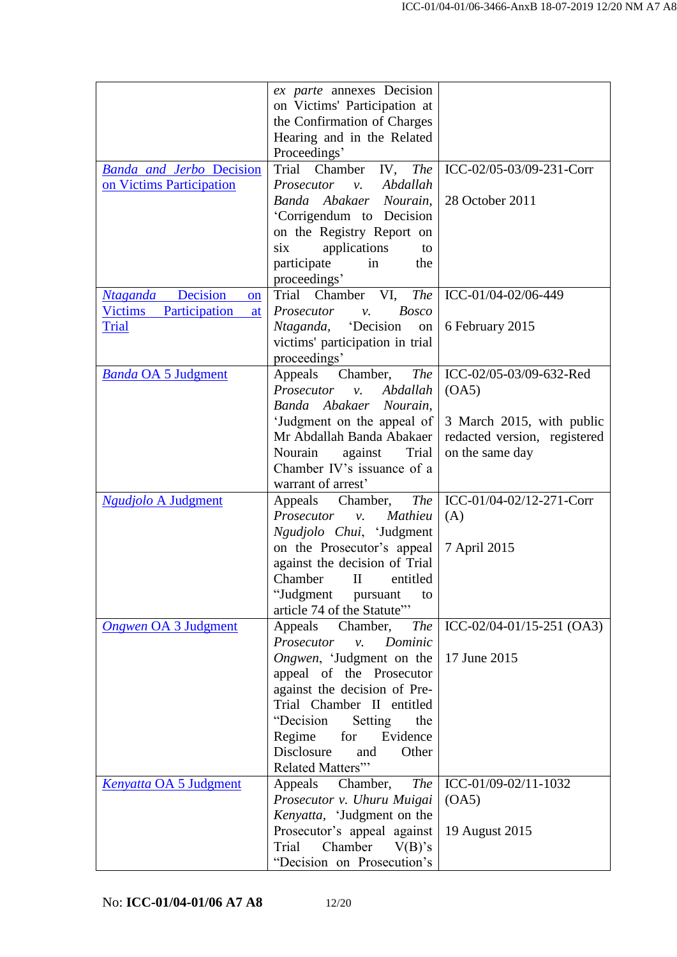|                                           | ex parte annexes Decision                                   |                              |
|-------------------------------------------|-------------------------------------------------------------|------------------------------|
|                                           | on Victims' Participation at                                |                              |
|                                           | the Confirmation of Charges                                 |                              |
|                                           | Hearing and in the Related                                  |                              |
|                                           | Proceedings'                                                |                              |
| <b>Banda and Jerbo Decision</b>           | Trial<br>Chamber IV,<br><b>The</b>                          | ICC-02/05-03/09-231-Corr     |
| on Victims Participation                  | <i>Prosecutor v.</i><br>Abdallah                            |                              |
|                                           | Banda Abakaer Nourain,                                      | 28 October 2011              |
|                                           | 'Corrigendum to Decision                                    |                              |
|                                           | on the Registry Report on                                   |                              |
|                                           | applications<br>six<br>to                                   |                              |
|                                           | participate<br>in<br>the                                    |                              |
|                                           | proceedings'                                                |                              |
| <b>Ntaganda Decision</b><br><sub>on</sub> | Trial Chamber<br>VI,<br><b>The</b>                          | ICC-01/04-02/06-449          |
| Victims<br>Participation<br>at            | Prosecutor<br><b>Bosco</b><br>ν.                            |                              |
| Trial                                     | <i>Ntaganda</i> , <i>Decision</i><br>on                     | 6 February 2015              |
|                                           | victims' participation in trial                             |                              |
|                                           | proceedings'                                                |                              |
| <b>Banda OA 5 Judgment</b>                | Appeals Chamber,<br><i>The</i>                              | ICC-02/05-03/09-632-Red      |
|                                           | Prosecutor<br>Abdallah<br>$\mathcal{V}$ .                   | (OA5)                        |
|                                           | Banda Abakaer Nourain,                                      |                              |
|                                           | 'Judgment on the appeal of                                  | 3 March 2015, with public    |
|                                           | Mr Abdallah Banda Abakaer                                   | redacted version, registered |
|                                           | Trial<br>Nourain<br>against                                 | on the same day              |
|                                           | Chamber IV's issuance of a                                  |                              |
|                                           | warrant of arrest'                                          |                              |
| <b>Ngudjolo A Judgment</b>                | <b>The</b><br>Appeals Chamber,                              | ICC-01/04-02/12-271-Corr     |
|                                           | Prosecutor<br>Mathieu<br>$\mathcal{V}$ .                    | (A)                          |
|                                           | Ngudjolo Chui, 'Judgment                                    |                              |
|                                           | on the Prosecutor's appeal<br>against the decision of Trial | 7 April 2015                 |
|                                           | Chamber<br>$\mathbf{I}$<br>entitled                         |                              |
|                                           | "Judgment<br>pursuant<br>to                                 |                              |
|                                           | article 74 of the Statute"                                  |                              |
| <b>Ongwen OA 3 Judgment</b>               | Appeals<br>Chamber,<br><i>The</i>                           | ICC-02/04-01/15-251 (OA3)    |
|                                           | Prosecutor<br>Dominic<br>$\nu$ .                            |                              |
|                                           | Ongwen, 'Judgment on the                                    | 17 June 2015                 |
|                                           | appeal of the Prosecutor                                    |                              |
|                                           | against the decision of Pre-                                |                              |
|                                           | Trial Chamber II entitled                                   |                              |
|                                           | "Decision<br>the<br>Setting                                 |                              |
|                                           | for<br>Evidence<br>Regime                                   |                              |
|                                           | Disclosure<br>Other<br>and                                  |                              |
|                                           | Related Matters"                                            |                              |
| Kenyatta OA 5 Judgment                    | Appeals<br>Chamber,<br><b>The</b>                           | ICC-01/09-02/11-1032         |
|                                           | Prosecutor v. Uhuru Muigai                                  | (OA5)                        |
|                                           | Kenyatta, 'Judgment on the                                  |                              |
|                                           | Prosecutor's appeal against                                 | 19 August 2015               |
|                                           | Chamber<br>$V(B)$ 's<br>Trial                               |                              |
|                                           | "Decision on Prosecution's                                  |                              |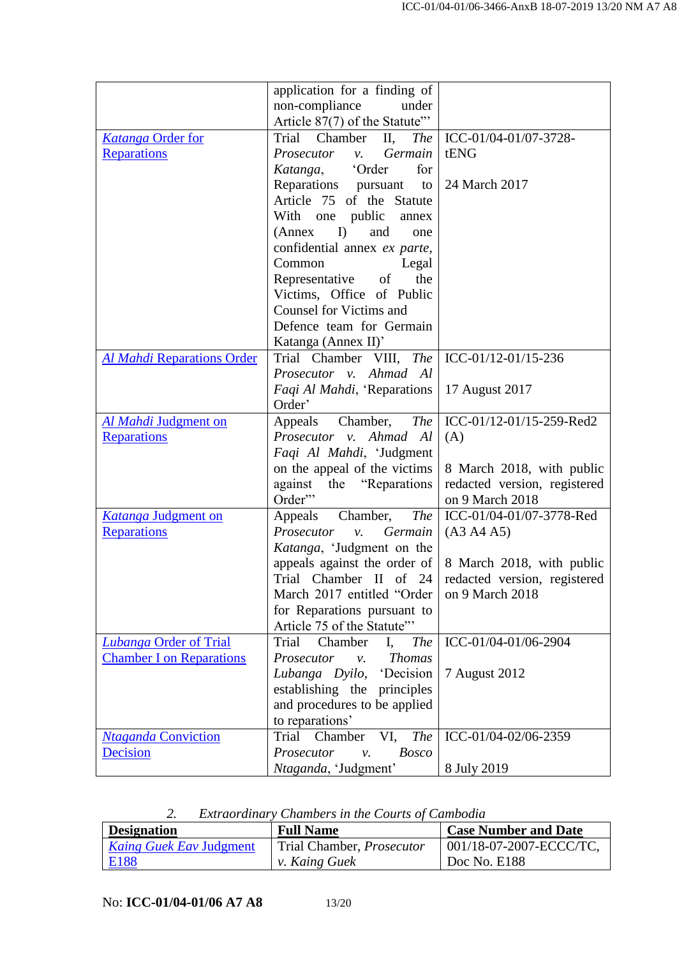|                                   | application for a finding of                    |                              |
|-----------------------------------|-------------------------------------------------|------------------------------|
|                                   | non-compliance<br>under                         |                              |
|                                   | Article 87(7) of the Statute"                   |                              |
| <b>Katanga Order for</b>          | Trial<br>Chamber<br>П,<br>The                   | ICC-01/04-01/07-3728-        |
| <b>Reparations</b>                | Germain<br>Prosecutor<br>$\mathcal{V}$ .        | tENG                         |
|                                   | Katanga, 'Order<br>for                          |                              |
|                                   | Reparations pursuant<br>to                      | 24 March 2017                |
|                                   | Article 75 of the Statute                       |                              |
|                                   |                                                 |                              |
|                                   | With one public<br>annex                        |                              |
|                                   | I<br>(Annex)<br>and<br>one                      |                              |
|                                   | confidential annex ex parte,                    |                              |
|                                   | Common<br>Legal                                 |                              |
|                                   | of<br>the<br>Representative                     |                              |
|                                   | Victims, Office of Public                       |                              |
|                                   | <b>Counsel for Victims and</b>                  |                              |
|                                   | Defence team for Germain                        |                              |
|                                   | Katanga (Annex II)'                             |                              |
| <b>Al Mahdi Reparations Order</b> | Trial Chamber VIII, The                         | ICC-01/12-01/15-236          |
|                                   | Prosecutor v. Ahmad Al                          |                              |
|                                   | Faqi Al Mahdi, 'Reparations                     | 17 August 2017               |
|                                   | Order'                                          |                              |
| Al Mahdi Judgment on              | Chamber,<br><b>The</b><br>Appeals               | ICC-01/12-01/15-259-Red2     |
| Reparations                       | Prosecutor v. Ahmad Al                          | (A)                          |
|                                   | Faqi Al Mahdi, 'Judgment                        |                              |
|                                   | on the appeal of the victims                    | 8 March 2018, with public    |
|                                   | the "Reparations"<br>against                    | redacted version, registered |
|                                   | Order"                                          | on 9 March 2018              |
| Katanga Judgment on               | Chamber,<br><b>The</b><br>Appeals               | ICC-01/04-01/07-3778-Red     |
| Reparations                       | Prosecutor<br>Germain<br>ν.                     | ( A3 A4 A5 )                 |
|                                   | Katanga, 'Judgment on the                       |                              |
|                                   | appeals against the order of                    | 8 March 2018, with public    |
|                                   | Trial Chamber II of 24                          | redacted version, registered |
|                                   | March 2017 entitled "Order                      | on 9 March 2018              |
|                                   | for Reparations pursuant to                     |                              |
|                                   | Article 75 of the Statute"                      |                              |
| <b>Lubanga Order of Trial</b>     | Chamber<br>Trial<br>$I_{\bullet}$<br><b>The</b> | ICC-01/04-01/06-2904         |
| <b>Chamber I on Reparations</b>   | Prosecutor<br><b>Thomas</b><br>$v_{\rm r}$      |                              |
|                                   | Lubanga Dyilo, 'Decision                        | 7 August 2012                |
|                                   | establishing the principles                     |                              |
|                                   | and procedures to be applied                    |                              |
|                                   | to reparations'                                 |                              |
| <b>Ntaganda Conviction</b>        | Trial<br>Chamber<br>VI,<br><b>The</b>           | ICC-01/04-02/06-2359         |
| Decision                          | Prosecutor<br><b>Bosco</b><br>$\nu$ .           |                              |
|                                   | Ntaganda, 'Judgment'                            | 8 July 2019                  |
|                                   |                                                 |                              |

*2. Extraordinary Chambers in the Courts of Cambodia*

| <b>Designation</b>             | <b>Full Name</b>                 | <b>Case Number and Date</b> |
|--------------------------------|----------------------------------|-----------------------------|
| <i>Kaing Guek Eav Judgment</i> | Trial Chamber, <i>Prosecutor</i> | $001/18-07-2007-ECCC/TC$    |
| E <sub>188</sub>               | <i>v. Kaing Guek</i>             | Doc No. E188                |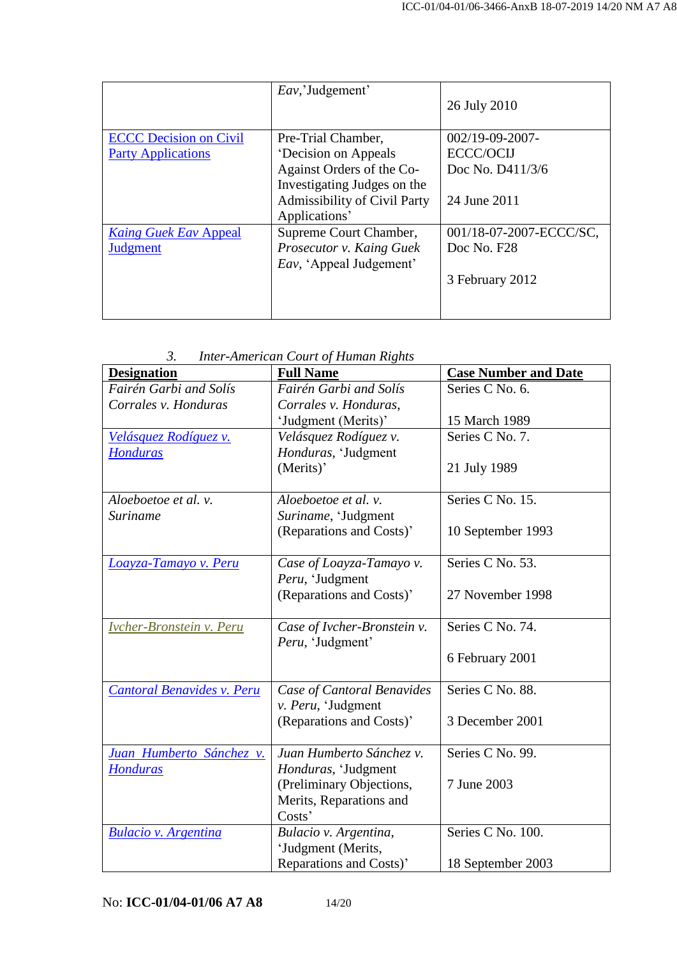|                               | <i>Eav</i> , 'Judgement'        | 26 July 2010            |
|-------------------------------|---------------------------------|-------------------------|
| <b>ECCC Decision on Civil</b> | Pre-Trial Chamber,              | $002/19 - 09 - 2007 -$  |
| <b>Party Applications</b>     | <b>Decision on Appeals</b>      | ECCC/OCIJ               |
|                               | Against Orders of the Co-       | Doc No. D411/3/6        |
|                               | Investigating Judges on the     |                         |
|                               | Admissibility of Civil Party    | 24 June 2011            |
|                               | Applications'                   |                         |
| <b>Kaing Guek Eav Appeal</b>  | Supreme Court Chamber,          | 001/18-07-2007-ECCC/SC, |
| Judgment                      | Prosecutor v. Kaing Guek        | Doc No. F28             |
|                               | <i>Eav</i> , 'Appeal Judgement' |                         |
|                               |                                 | 3 February 2012         |
|                               |                                 |                         |

*3. Inter-American Court of Human Rights*

| <b>Designation</b>                | <b>Full Name</b>                               | <b>Case Number and Date</b> |
|-----------------------------------|------------------------------------------------|-----------------------------|
| Fairén Garbi and Solís            | Fairén Garbi and Solís                         | Series C No. 6.             |
| Corrales v. Honduras              | Corrales v. Honduras,                          |                             |
|                                   | 'Judgment (Merits)'                            | 15 March 1989               |
| Velásquez Rodíguez v.             | Velásquez Rodíguez v.                          | Series C No. 7.             |
| <b>Honduras</b>                   | Honduras, 'Judgment                            |                             |
|                                   | (Merits)'                                      | 21 July 1989                |
|                                   |                                                |                             |
| Aloeboetoe et al. v.              | Aloeboetoe et al. v.                           | Series C No. 15.            |
| Suriname                          | Suriname, 'Judgment                            |                             |
|                                   | (Reparations and Costs)'                       | 10 September 1993           |
|                                   |                                                |                             |
| Loayza-Tamayo v. Peru             | Case of Loayza-Tamayo v.                       | Series C No. 53.            |
|                                   | Peru, 'Judgment                                |                             |
|                                   | (Reparations and Costs)'                       | 27 November 1998            |
|                                   |                                                |                             |
| Ivcher-Bronstein v. Peru          | Case of Ivcher-Bronstein v.                    | Series C No. 74.            |
|                                   | Peru, 'Judgment'                               |                             |
|                                   |                                                | 6 February 2001             |
|                                   |                                                |                             |
| <b>Cantoral Benavides v. Peru</b> | Case of Cantoral Benavides                     | Series C No. 88.            |
|                                   | v. Peru, 'Judgment<br>(Reparations and Costs)' | 3 December 2001             |
|                                   |                                                |                             |
| Juan Humberto Sánchez v.          | Juan Humberto Sánchez v.                       | Series C No. 99.            |
| <b>Honduras</b>                   | Honduras, 'Judgment                            |                             |
|                                   | (Preliminary Objections,                       | 7 June 2003                 |
|                                   | Merits, Reparations and                        |                             |
|                                   | Costs'                                         |                             |
| <b>Bulacio v. Argentina</b>       | Bulacio v. Argentina,                          | Series C No. 100.           |
|                                   | 'Judgment (Merits,                             |                             |
|                                   | Reparations and Costs)'                        | 18 September 2003           |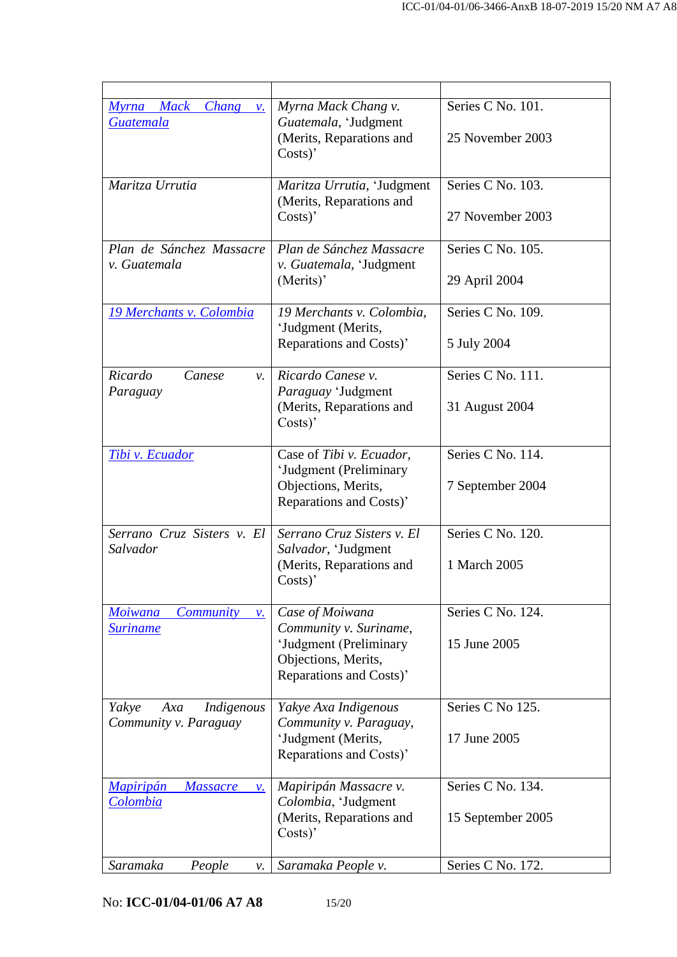| Myrna Mack<br><i>Chang</i><br>$\mathcal{V}$ .<br><b>Guatemala</b>        | Myrna Mack Chang v.<br>Guatemala, 'Judgment<br>(Merits, Reparations and<br>$Costs$ )'                                 | Series C No. 101.<br>25 November 2003  |
|--------------------------------------------------------------------------|-----------------------------------------------------------------------------------------------------------------------|----------------------------------------|
| Maritza Urrutia                                                          | Maritza Urrutia, 'Judgment<br>(Merits, Reparations and<br>$Costs$ )'                                                  | Series C No. 103.<br>27 November 2003  |
| Plan de Sánchez Massacre<br>v. Guatemala                                 | Plan de Sánchez Massacre<br>v. Guatemala, 'Judgment<br>(Merits)'                                                      | Series C No. 105.<br>29 April 2004     |
| 19 Merchants v. Colombia                                                 | 19 Merchants v. Colombia,<br>'Judgment (Merits,<br>Reparations and Costs)'                                            | Series C No. 109.<br>5 July 2004       |
| Ricardo<br>Canese<br>ν.<br>Paraguay                                      | Ricardo Canese v.<br>Paraguay 'Judgment<br>(Merits, Reparations and<br>$Costs$ )'                                     | Series C No. 111.<br>31 August 2004    |
| Tibi v. Ecuador                                                          | Case of Tibi v. Ecuador,<br>'Judgment (Preliminary<br>Objections, Merits,<br>Reparations and Costs)'                  | Series C No. 114.<br>7 September 2004  |
| Serrano Cruz Sisters v. El<br>Salvador                                   | Serrano Cruz Sisters v. El<br>Salvador, 'Judgment<br>(Merits, Reparations and<br>$Costs$ )'                           | Series C No. 120.<br>1 March 2005      |
| <b>Moiwana</b><br><i>Community</i><br>$\mathcal{V}$ .<br><b>Suriname</b> | Case of Moiwana<br>Community v. Suriname,<br>'Judgment (Preliminary<br>Objections, Merits,<br>Reparations and Costs)' | Series C No. 124.<br>15 June 2005      |
| Indigenous<br>Yakye<br>Axa<br>Community v. Paraguay                      | Yakye Axa Indigenous<br>Community v. Paraguay,<br>'Judgment (Merits,<br>Reparations and Costs)'                       | Series C No 125.<br>17 June 2005       |
| <b>Mapiripán</b><br><b>Massacre</b><br>ν.<br><b>Colombia</b>             | Mapiripán Massacre v.<br>Colombia, 'Judgment<br>(Merits, Reparations and<br>$Costs$ )'                                | Series C No. 134.<br>15 September 2005 |
| Saramaka<br>People<br>ν.                                                 | Saramaka People v.                                                                                                    | Series C No. 172.                      |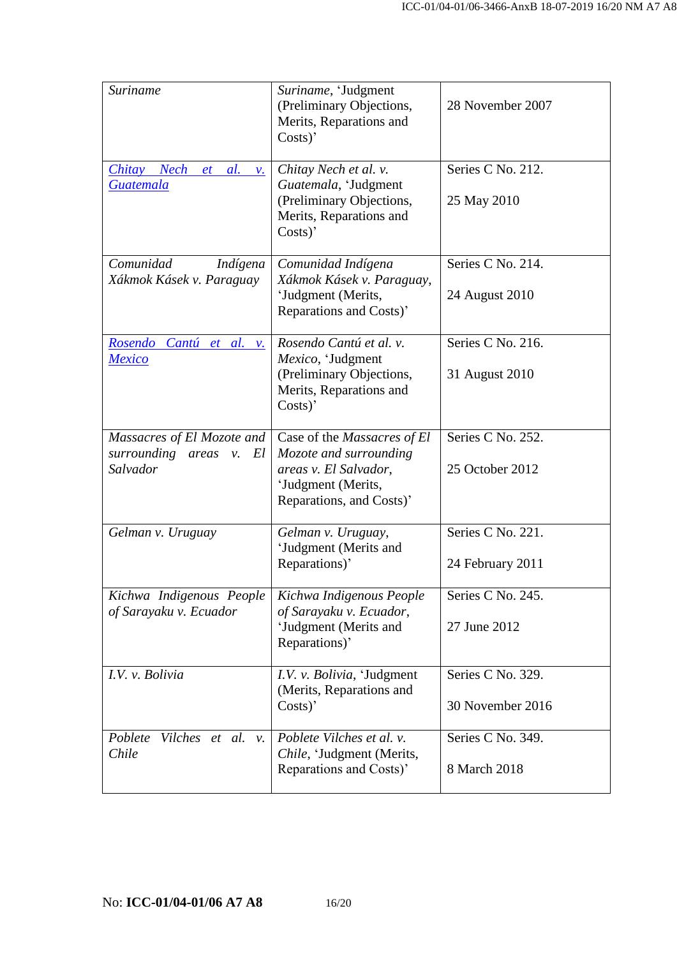| <b>Suriname</b>                                                         | Suriname, 'Judgment<br>(Preliminary Objections,<br>Merits, Reparations and<br>$Costs$ )'                                                | 28 November 2007                      |
|-------------------------------------------------------------------------|-----------------------------------------------------------------------------------------------------------------------------------------|---------------------------------------|
| <i>Chitay</i><br>Nech<br>$et \textit{al.}$<br>ν.<br><b>Guatemala</b>    | Chitay Nech et al. v.<br>Guatemala, 'Judgment<br>(Preliminary Objections,<br>Merits, Reparations and<br>Costs)                          | Series C No. 212.<br>25 May 2010      |
| Comunidad<br>Indígena<br>Xákmok Kásek v. Paraguay                       | Comunidad Indígena<br>Xákmok Kásek v. Paraguay,<br>'Judgment (Merits,<br>Reparations and Costs)'                                        | Series C No. 214.<br>24 August 2010   |
| Rosendo Cantú et al.<br>$\mathcal{V}$ .<br><b>Mexico</b>                | Rosendo Cantú et al. v.<br>Mexico, 'Judgment<br>(Preliminary Objections,<br>Merits, Reparations and<br>$Costs$ )'                       | Series C No. 216.<br>31 August 2010   |
| Massacres of El Mozote and<br>surrounding<br>El<br>areas v.<br>Salvador | Case of the <i>Massacres of El</i><br>Mozote and surrounding<br>areas v. El Salvador,<br>'Judgment (Merits,<br>Reparations, and Costs)' | Series C No. 252.<br>25 October 2012  |
| Gelman v. Uruguay                                                       | Gelman v. Uruguay,<br>'Judgment (Merits and<br>Reparations)'                                                                            | Series C No. 221.<br>24 February 2011 |
| Kichwa Indigenous People<br>of Sarayaku v. Ecuador                      | Kichwa Indigenous People<br>of Sarayaku v. Ecuador,<br>'Judgment (Merits and<br>Reparations)'                                           | Series C No. 245.<br>27 June 2012     |
| I.V. v. Bolivia                                                         | I.V. v. Bolivia, 'Judgment<br>(Merits, Reparations and<br>$Costs$ )'                                                                    | Series C No. 329.<br>30 November 2016 |
| Poblete<br>Vilches et al.<br>$\mathcal{V}$ .<br>Chile                   | Poblete Vilches et al. v.<br>Chile, 'Judgment (Merits,<br>Reparations and Costs)'                                                       | Series C No. 349.<br>8 March 2018     |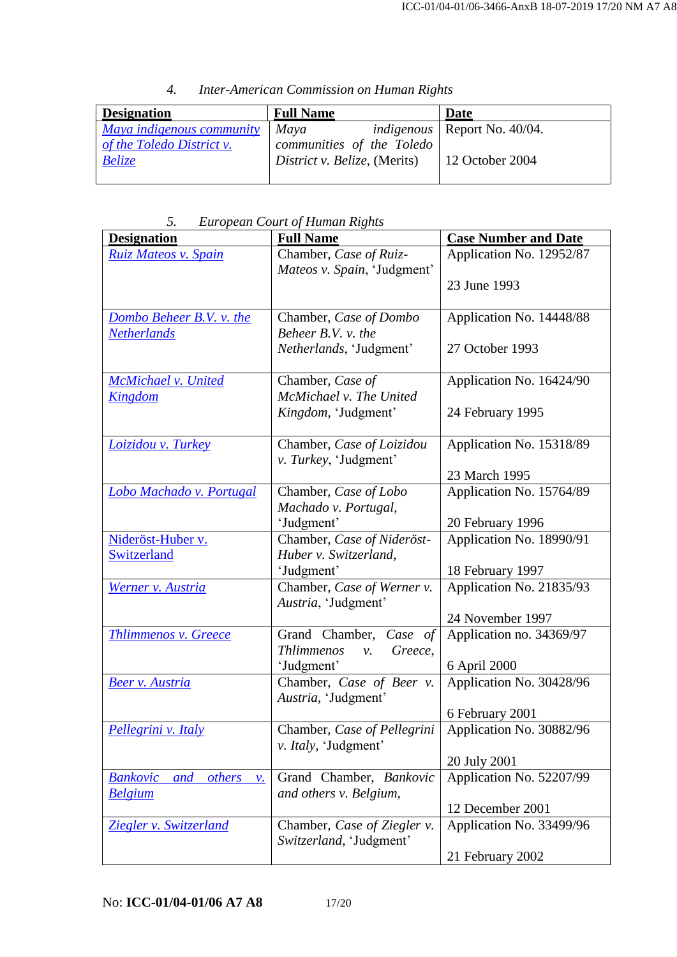| 4. | Inter-American Commission on Human Rights |  |  |
|----|-------------------------------------------|--|--|
|    |                                           |  |  |

| <b>Designation</b>        | <b>Full Name</b>             | Date                                     |
|---------------------------|------------------------------|------------------------------------------|
| Maya indigenous community | Maya                         | <i>indigenous</i>   Report No. $40/04$ . |
| of the Toledo District v. | communities of the Toledo    |                                          |
| <b>Belize</b>             | District v. Belize, (Merits) | 12 October 2004                          |
|                           |                              |                                          |

*5. European Court of Human Rights*

| <b>Designation</b>                                  | <b>Full Name</b>                   | <b>Case Number and Date</b> |
|-----------------------------------------------------|------------------------------------|-----------------------------|
| Ruiz Mateos v. Spain                                | Chamber, Case of Ruiz-             | Application No. 12952/87    |
|                                                     | Mateos v. Spain, 'Judgment'        |                             |
|                                                     |                                    | 23 June 1993                |
| Dombo Beheer B.V. v. the                            | Chamber, Case of Dombo             | Application No. 14448/88    |
| <b>Netherlands</b>                                  | Beheer B.V. v. the                 |                             |
|                                                     | Netherlands, 'Judgment'            | 27 October 1993             |
| McMichael v. United                                 | Chamber, Case of                   | Application No. 16424/90    |
| Kingdom                                             | McMichael v. The United            |                             |
|                                                     | Kingdom, 'Judgment'                | 24 February 1995            |
| Loizidou v. Turkey                                  | Chamber, Case of Loizidou          | Application No. 15318/89    |
|                                                     | v. Turkey, 'Judgment'              |                             |
|                                                     |                                    | 23 March 1995               |
| Lobo Machado v. Portugal                            | Chamber, Case of Lobo              | Application No. 15764/89    |
|                                                     | Machado v. Portugal,<br>'Judgment' | 20 February 1996            |
| Nideröst-Huber v.                                   | Chamber, Case of Nideröst-         | Application No. 18990/91    |
| Switzerland                                         | Huber v. Switzerland,              |                             |
|                                                     | 'Judgment'                         | 18 February 1997            |
| Werner v. Austria                                   | Chamber, Case of Werner v.         | Application No. 21835/93    |
|                                                     | Austria, 'Judgment'                |                             |
|                                                     |                                    | 24 November 1997            |
| Thlimmenos v. Greece                                | Grand Chamber, Case of             | Application no. 34369/97    |
|                                                     | Thlimmenos<br>Greece,<br>ν.        |                             |
|                                                     | 'Judgment'                         | 6 April 2000                |
| <b>Beer v. Austria</b>                              | Chamber, Case of Beer v.           | Application No. 30428/96    |
|                                                     | Austria, 'Judgment'                | 6 February 2001             |
| Pellegrini v. Italy                                 | Chamber, Case of Pellegrini        | Application No. 30882/96    |
|                                                     | v. Italy, 'Judgment'               |                             |
|                                                     |                                    | 20 July 2001                |
| <b>Bankovic</b><br>others<br>and<br>$\mathcal{V}$ . | Grand Chamber, Bankovic            | Application No. 52207/99    |
| <b>Belgium</b>                                      | and others v. Belgium,             |                             |
|                                                     |                                    | 12 December 2001            |
| Ziegler v. Switzerland                              | Chamber, Case of Ziegler v.        | Application No. 33499/96    |
|                                                     | Switzerland, 'Judgment'            |                             |
|                                                     |                                    | 21 February 2002            |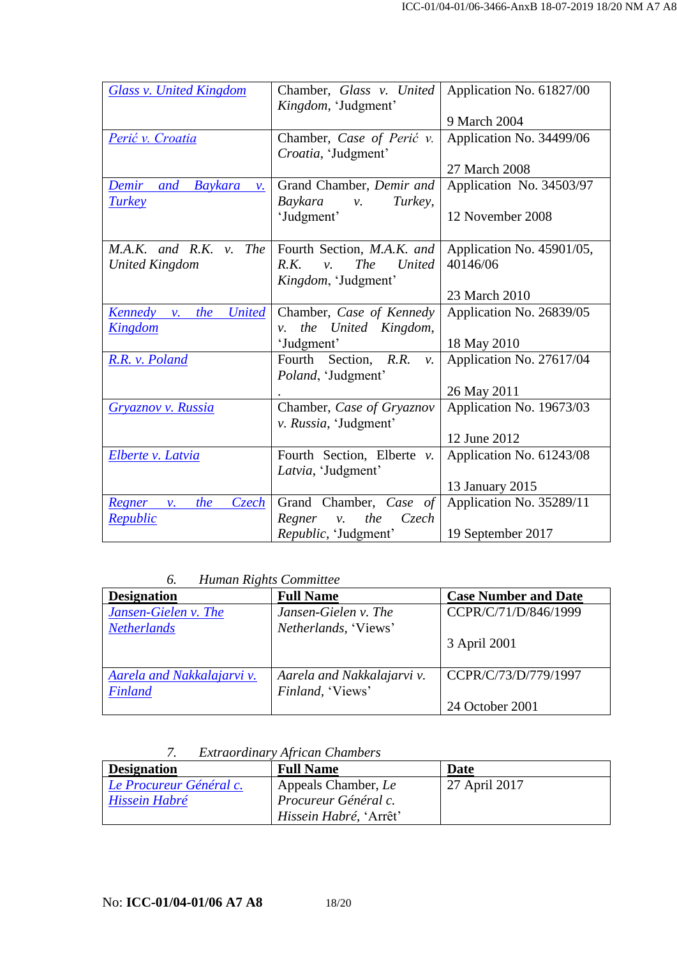| <b>Glass v. United Kingdom</b>                    | Chamber, Glass v. United<br>Kingdom, 'Judgment'        | Application No. 61827/00  |
|---------------------------------------------------|--------------------------------------------------------|---------------------------|
|                                                   |                                                        | 9 March 2004              |
| Perić v. Croatia                                  | Chamber, Case of Perić v.                              | Application No. 34499/06  |
|                                                   | Croatia, 'Judgment'                                    |                           |
|                                                   |                                                        | 27 March 2008             |
| Demir and Baykara<br>$\mathcal{V}$ .              | Grand Chamber, Demir and                               | Application No. 34503/97  |
| <b>Turkey</b>                                     | Baykara<br>Turkey,<br>ν.                               |                           |
|                                                   | 'Judgment'                                             | 12 November 2008          |
|                                                   |                                                        |                           |
| M.A.K. and R.K. v. The Fourth Section, M.A.K. and |                                                        | Application No. 45901/05, |
| <b>United Kingdom</b>                             | <b>The</b><br><b>United</b><br>R.K.<br>$\mathcal{V}$ . | 40146/06                  |
|                                                   | Kingdom, 'Judgment'                                    |                           |
|                                                   |                                                        | 23 March 2010             |
| <b>United</b><br>Kennedy v.<br>the                | Chamber, Case of Kennedy                               | Application No. 26839/05  |
| <u>Kingdom</u>                                    | the United Kingdom,<br>$\mathcal{V}$ .                 |                           |
|                                                   | 'Judgment'                                             | 18 May 2010               |
| R.R. v. Poland                                    | Fourth Section, R.R.<br>$\mathcal{V}$ .                | Application No. 27617/04  |
|                                                   | Poland, 'Judgment'                                     |                           |
|                                                   |                                                        | 26 May 2011               |
| Gryaznov v. Russia                                | Chamber, Case of Gryaznov                              | Application No. 19673/03  |
|                                                   | v. Russia, 'Judgment'                                  |                           |
|                                                   |                                                        | 12 June 2012              |
| Elberte v. Latvia                                 | Fourth Section, Elberte $v$ .                          | Application No. 61243/08  |
|                                                   | Latvia, 'Judgment'                                     |                           |
|                                                   |                                                        | 13 January 2015           |
| the<br><u>Czech</u><br>Regner v.                  | Grand Chamber, Case of                                 | Application No. 35289/11  |
| <b>Republic</b>                                   | $C$ zech<br>Regner<br>the<br>$\mathcal{V}$ .           |                           |
|                                                   | Republic, 'Judgment'                                   | 19 September 2017         |

#### *6. Human Rights Committee*

| <b>Designation</b>         | <b>Full Name</b>           | <b>Case Number and Date</b> |
|----------------------------|----------------------------|-----------------------------|
| Jansen-Gielen v. The       | Jansen-Gielen v. The       | CCPR/C/71/D/846/1999        |
| <b>Netherlands</b>         | Netherlands, 'Views'       |                             |
|                            |                            | 3 April 2001                |
|                            |                            |                             |
| Aarela and Nakkalajarvi v. | Aarela and Nakkalajarvi v. | CCPR/C/73/D/779/1997        |
| Finland                    | Finland, 'Views'           |                             |
|                            |                            | 24 October 2001             |

### *7. Extraordinary African Chambers*

| <b>Designation</b>      | <b>Full Name</b>               | Date          |
|-------------------------|--------------------------------|---------------|
| Le Procureur Général c. | Appeals Chamber, Le            | 27 April 2017 |
| Hissein Habré           | Procureur Général c.           |               |
|                         | <i>Hissein Habré</i> , 'Arrêt' |               |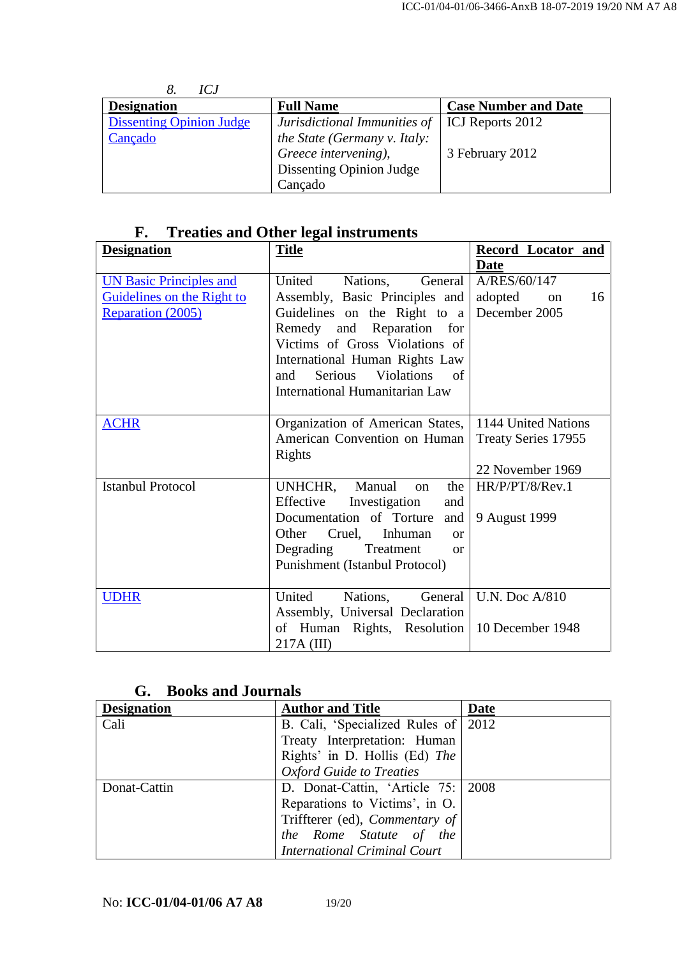| ICJ                             |                                 |                             |
|---------------------------------|---------------------------------|-----------------------------|
| <b>Designation</b>              | <b>Full Name</b>                | <b>Case Number and Date</b> |
| <b>Dissenting Opinion Judge</b> | Jurisdictional Immunities of    | ICJ Reports 2012            |
| Cançado                         | the State (Germany v. Italy:    |                             |
|                                 | Greece intervening),            | 3 February 2012             |
|                                 | <b>Dissenting Opinion Judge</b> |                             |
|                                 | Cançado                         |                             |

## **F. Treaties and Other legal instruments**

| <b>Designation</b>             | <b>Title</b>                              | Record Locator and  |
|--------------------------------|-------------------------------------------|---------------------|
|                                |                                           | Date                |
| <b>UN Basic Principles and</b> | United<br>Nations, General                | A/RES/60/147        |
| Guidelines on the Right to     | Assembly, Basic Principles and            | adopted<br>16<br>on |
| Reparation (2005)              | Guidelines on the Right to a              | December 2005       |
|                                | Remedy and Reparation for                 |                     |
|                                | Victims of Gross Violations of            |                     |
|                                | International Human Rights Law            |                     |
|                                | Serious<br><b>Violations</b><br>of<br>and |                     |
|                                | <b>International Humanitarian Law</b>     |                     |
|                                |                                           |                     |
| <b>ACHR</b>                    | Organization of American States,          | 1144 United Nations |
|                                | American Convention on Human              | Treaty Series 17955 |
|                                | Rights                                    |                     |
|                                |                                           | 22 November 1969    |
| <b>Istanbul Protocol</b>       | UNHCHR, Manual<br>the<br>on               | HR/P/PT/8/Rev.1     |
|                                | Effective Investigation<br>and            |                     |
|                                | Documentation of Torture<br>and           | 9 August 1999       |
|                                | Other<br>Cruel, Inhuman<br>$\alpha$       |                     |
|                                | Degrading<br>Treatment<br><b>or</b>       |                     |
|                                | Punishment (Istanbul Protocol)            |                     |
|                                |                                           |                     |
| <b>UDHR</b>                    | United<br>Nations,<br>General             | U.N. Doc A/810      |
|                                | Assembly, Universal Declaration           |                     |
|                                | of Human Rights, Resolution               | 10 December 1948    |
|                                | 217A (III)                                |                     |

## **G. Books and Journals**

| <b>Designation</b> | <b>Author and Title</b>               | <b>Date</b> |
|--------------------|---------------------------------------|-------------|
| Cali               | B. Cali, 'Specialized Rules of 2012   |             |
|                    | Treaty Interpretation: Human          |             |
|                    | Rights' in D. Hollis (Ed) The         |             |
|                    | <b>Oxford Guide to Treaties</b>       |             |
| Donat-Cattin       | D. Donat-Cattin, 'Article 75:   2008  |             |
|                    | Reparations to Victims', in O.        |             |
|                    | Triffterer (ed), <i>Commentary of</i> |             |
|                    | the Rome Statute of the               |             |
|                    | <b>International Criminal Court</b>   |             |